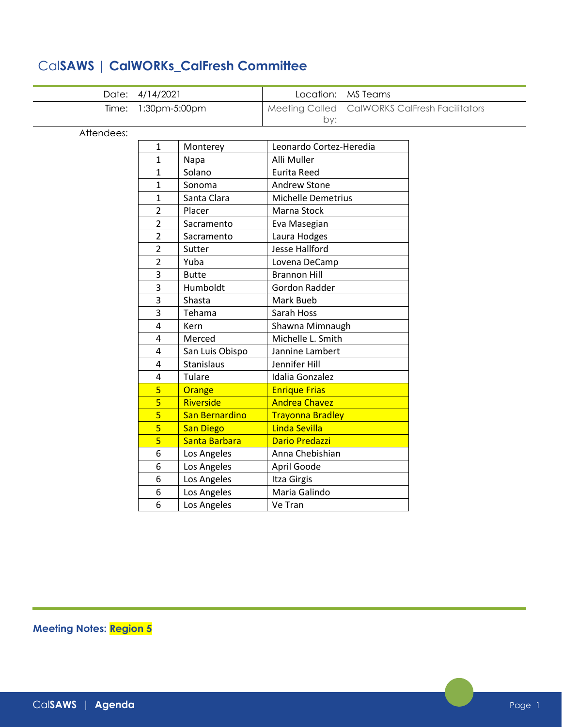|  |  |  | CalSAWS   CalWORKs_CalFresh Committee |
|--|--|--|---------------------------------------|
|--|--|--|---------------------------------------|

|            | Date: 4/14/2021 |                  |                           | Location: MS Teams                    |
|------------|-----------------|------------------|---------------------------|---------------------------------------|
| Time:      | 1:30pm-5:00pm   |                  | <b>Meeting Called</b>     | <b>CalWORKS CalFresh Facilitators</b> |
|            |                 |                  | by:                       |                                       |
| Attendees: |                 |                  |                           |                                       |
|            | 1               | Monterey         | Leonardo Cortez-Heredia   |                                       |
|            | 1               | Napa             | Alli Muller               |                                       |
|            | 1               | Solano           | <b>Eurita Reed</b>        |                                       |
|            | 1               | Sonoma           | <b>Andrew Stone</b>       |                                       |
|            | 1               | Santa Clara      | <b>Michelle Demetrius</b> |                                       |
|            | 2               | Placer           | Marna Stock               |                                       |
|            | $\overline{2}$  | Sacramento       | Eva Masegian              |                                       |
|            | $\overline{2}$  | Sacramento       | Laura Hodges              |                                       |
|            | $\overline{2}$  | Sutter           | <b>Jesse Hallford</b>     |                                       |
|            | 2               | Yuba             | Lovena DeCamp             |                                       |
|            | 3               | <b>Butte</b>     | <b>Brannon Hill</b>       |                                       |
|            | 3               | Humboldt         | Gordon Radder             |                                       |
|            | 3               | Shasta           | Mark Bueb                 |                                       |
|            | 3               | Tehama           | Sarah Hoss                |                                       |
|            | 4               | Kern             | Shawna Mimnaugh           |                                       |
|            | 4               | Merced           | Michelle L. Smith         |                                       |
|            | 4               | San Luis Obispo  | Jannine Lambert           |                                       |
|            | $\overline{4}$  | Stanislaus       | Jennifer Hill             |                                       |
|            | 4               | Tulare           | Idalia Gonzalez           |                                       |
|            | 5               | Orange           | <b>Enrique Frias</b>      |                                       |
|            | 5               | Riverside        | <b>Andrea Chavez</b>      |                                       |
|            | $\overline{5}$  | San Bernardino   | <b>Trayonna Bradley</b>   |                                       |
|            | $\overline{5}$  | <b>San Diego</b> | Linda Sevilla             |                                       |
|            | 5               | Santa Barbara    | <b>Dario Predazzi</b>     |                                       |
|            | 6               | Los Angeles      | Anna Chebishian           |                                       |
|            | 6               | Los Angeles      | April Goode               |                                       |
|            | 6               | Los Angeles      | Itza Girgis               |                                       |
|            | 6               | Los Angeles      | Maria Galindo             |                                       |
|            | 6               | Los Angeles      | Ve Tran                   |                                       |

**Meeting Notes: Region 5**